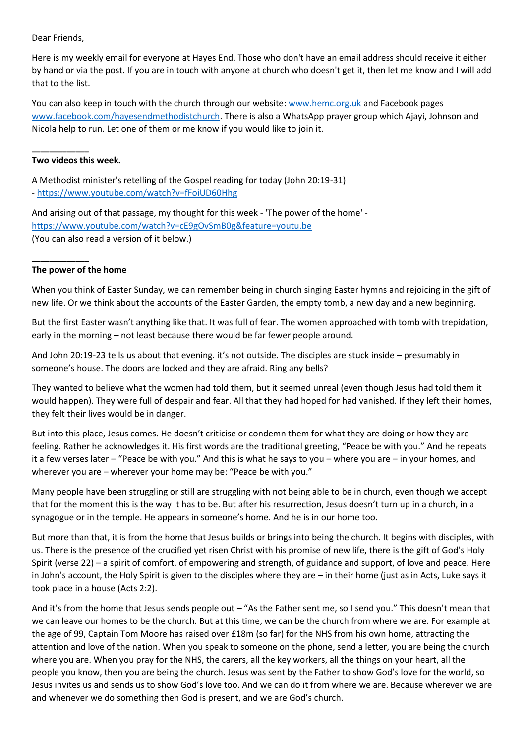Dear Friends,

Here is my weekly email for everyone at Hayes End. Those who don't have an email address should receive it either by hand or via the post. If you are in touch with anyone at church who doesn't get it, then let me know and I will add that to the list.

You can also keep in touch with the church through our website: [www.hemc.org.uk](http://www.hemc.org.uk/) and Facebook pages [www.facebook.com/hayesendmethodistchurch.](http://www.facebook.com/hayesendmethodistchurch) There is also a WhatsApp prayer group which Ajayi, Johnson and Nicola help to run. Let one of them or me know if you would like to join it.

### **\_\_\_\_\_\_\_\_\_\_\_\_\_ Two videos this week.**

A Methodist minister's retelling of the Gospel reading for today (John 20:19-31) - <https://www.youtube.com/watch?v=fFoiUD60Hhg>

And arising out of that passage, my thought for this week - 'The power of the home' -

<https://www.youtube.com/watch?v=cE9gOvSmB0g&feature=youtu.be>

(You can also read a version of it below.)

## **\_\_\_\_\_\_\_\_\_\_\_\_\_ The power of the home**

When you think of Easter Sunday, we can remember being in church singing Easter hymns and rejoicing in the gift of new life. Or we think about the accounts of the Easter Garden, the empty tomb, a new day and a new beginning.

But the first Easter wasn't anything like that. It was full of fear. The women approached with tomb with trepidation, early in the morning – not least because there would be far fewer people around.

And John 20:19-23 tells us about that evening. it's not outside. The disciples are stuck inside – presumably in someone's house. The doors are locked and they are afraid. Ring any bells?

They wanted to believe what the women had told them, but it seemed unreal (even though Jesus had told them it would happen). They were full of despair and fear. All that they had hoped for had vanished. If they left their homes, they felt their lives would be in danger.

But into this place, Jesus comes. He doesn't criticise or condemn them for what they are doing or how they are feeling. Rather he acknowledges it. His first words are the traditional greeting, "Peace be with you." And he repeats it a few verses later – "Peace be with you." And this is what he says to you – where you are – in your homes, and wherever you are – wherever your home may be: "Peace be with you."

Many people have been struggling or still are struggling with not being able to be in church, even though we accept that for the moment this is the way it has to be. But after his resurrection, Jesus doesn't turn up in a church, in a synagogue or in the temple. He appears in someone's home. And he is in our home too.

But more than that, it is from the home that Jesus builds or brings into being the church. It begins with disciples, with us. There is the presence of the crucified yet risen Christ with his promise of new life, there is the gift of God's Holy Spirit (verse 22) – a spirit of comfort, of empowering and strength, of guidance and support, of love and peace. Here in John's account, the Holy Spirit is given to the disciples where they are – in their home (just as in Acts, Luke says it took place in a house (Acts 2:2).

And it's from the home that Jesus sends people out – "As the Father sent me, so I send you." This doesn't mean that we can leave our homes to be the church. But at this time, we can be the church from where we are. For example at the age of 99, Captain Tom Moore has raised over £18m (so far) for the NHS from his own home, attracting the attention and love of the nation. When you speak to someone on the phone, send a letter, you are being the church where you are. When you pray for the NHS, the carers, all the key workers, all the things on your heart, all the people you know, then you are being the church. Jesus was sent by the Father to show God's love for the world, so Jesus invites us and sends us to show God's love too. And we can do it from where we are. Because wherever we are and whenever we do something then God is present, and we are God's church.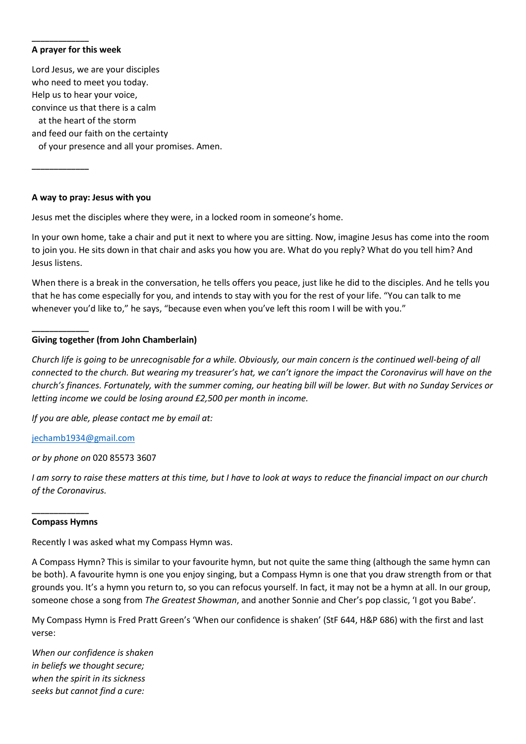# **A prayer for this week**

**\_\_\_\_\_\_\_\_\_\_\_\_\_**

**\_\_\_\_\_\_\_\_\_\_\_\_\_**

**\_\_\_\_\_\_\_\_\_\_\_\_\_**

Lord Jesus, we are your disciples who need to meet you today. Help us to hear your voice, convince us that there is a calm at the heart of the storm and feed our faith on the certainty of your presence and all your promises. Amen.

**A way to pray: Jesus with you**

Jesus met the disciples where they were, in a locked room in someone's home.

In your own home, take a chair and put it next to where you are sitting. Now, imagine Jesus has come into the room to join you. He sits down in that chair and asks you how you are. What do you reply? What do you tell him? And Jesus listens.

When there is a break in the conversation, he tells offers you peace, just like he did to the disciples. And he tells you that he has come especially for you, and intends to stay with you for the rest of your life. "You can talk to me whenever you'd like to," he says, "because even when you've left this room I will be with you."

## **Giving together (from John Chamberlain)**

*Church life is going to be unrecognisable for a while. Obviously, our main concern is the continued well-being of all connected to the church. But wearing my treasurer's hat, we can't ignore the impact the Coronavirus will have on the church's finances. Fortunately, with the summer coming, our heating bill will be lower. But with no Sunday Services or letting income we could be losing around £2,500 per month in income.*

*If you are able, please contact me by email at:*

[jechamb1934@gmail.com](mailto:jechamb1934@gmail.com)

*or by phone on* 020 85573 3607

*I am sorry to raise these matters at this time, but I have to look at ways to reduce the financial impact on our church of the Coronavirus.*

## **\_\_\_\_\_\_\_\_\_\_\_\_\_ Compass Hymns**

Recently I was asked what my Compass Hymn was.

A Compass Hymn? This is similar to your favourite hymn, but not quite the same thing (although the same hymn can be both). A favourite hymn is one you enjoy singing, but a Compass Hymn is one that you draw strength from or that grounds you. It's a hymn you return to, so you can refocus yourself. In fact, it may not be a hymn at all. In our group, someone chose a song from *The Greatest Showman*, and another Sonnie and Cher's pop classic, 'I got you Babe'.

My Compass Hymn is Fred Pratt Green's 'When our confidence is shaken' (StF 644, H&P 686) with the first and last verse:

*When our confidence is shaken in beliefs we thought secure; when the spirit in its sickness seeks but cannot find a cure:*